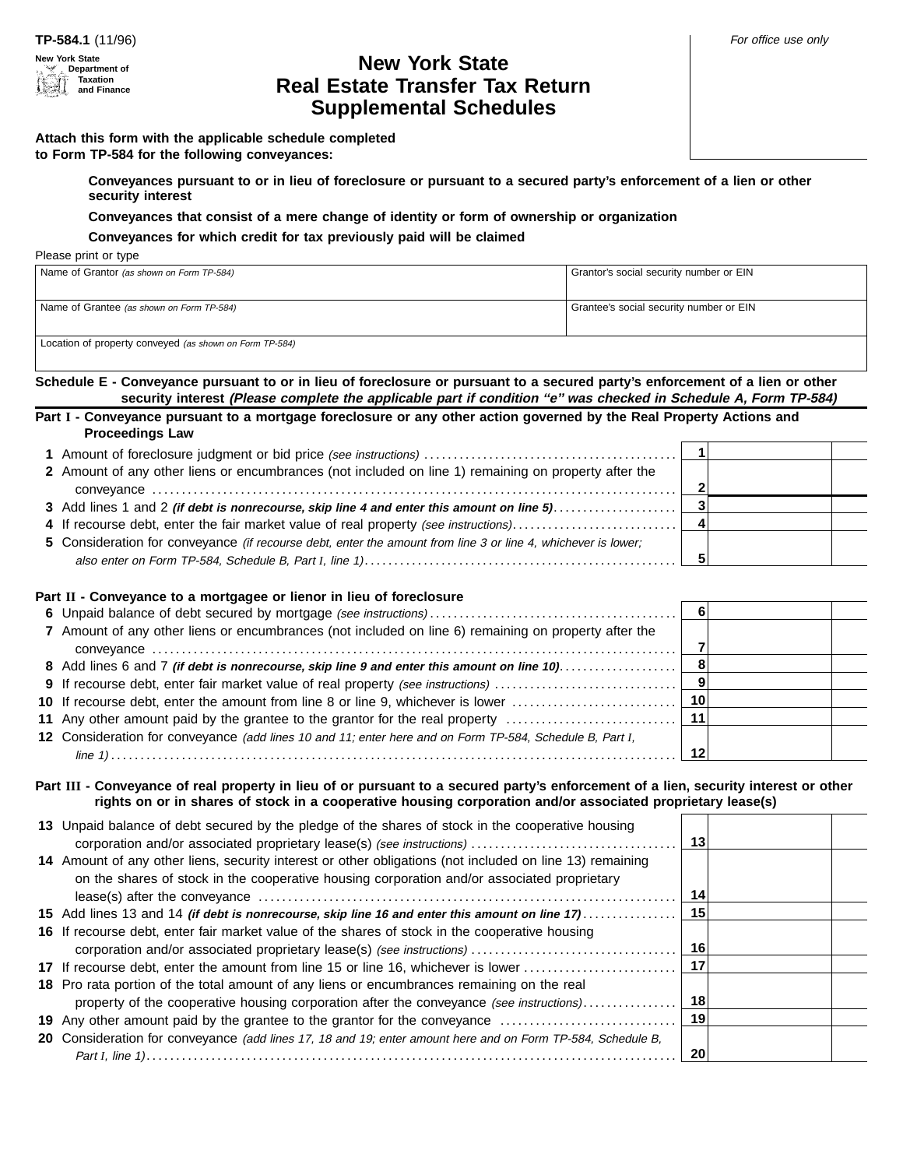#### **New York State Department of Taxation and Finance**

## **New York State Real Estate Transfer Tax Return Supplemental Schedules**

**to Form TP-584 for the following conveyances:**

**Conveyances pursuant to or in lieu of foreclosure or pursuant to a secured party's enforcement of a lien or other security interest**

**Conveyances that consist of a mere change of identity or form of ownership or organization**

**Conveyances for which credit for tax previously paid will be claimed**

Please print or type

| Name of Grantor (as shown on Form TP-584)                                                      | Grantor's social security number or EIN |  |  |  |
|------------------------------------------------------------------------------------------------|-----------------------------------------|--|--|--|
|                                                                                                |                                         |  |  |  |
|                                                                                                |                                         |  |  |  |
|                                                                                                |                                         |  |  |  |
|                                                                                                |                                         |  |  |  |
| Name of Grantee (as shown on Form TP-584)                                                      | Grantee's social security number or EIN |  |  |  |
|                                                                                                |                                         |  |  |  |
|                                                                                                |                                         |  |  |  |
|                                                                                                |                                         |  |  |  |
| $l$ continue of propositions and $l_1$ , $l_2$ , $l_3$ , $l_4$ , $l_5$ , $l_7$ , $l_8$ , $l_9$ |                                         |  |  |  |

Location of property conveyed (as shown on Form TP-584)

**Schedule E - Conveyance pursuant to or in lieu of foreclosure or pursuant to a secured party's enforcement of a lien or other** security interest (Please complete the applicable part if condition "e" was checked in Schedule A, Form TP-584)

**Part I - Conveyance pursuant to a mortgage foreclosure or any other action governed by the Real Property Actions and Proceedings Law**

| 2 Amount of any other liens or encumbrances (not included on line 1) remaining on property after the          |  |  |
|---------------------------------------------------------------------------------------------------------------|--|--|
|                                                                                                               |  |  |
|                                                                                                               |  |  |
| 4 If recourse debt, enter the fair market value of real property (see instructions)                           |  |  |
| 5 Consideration for conveyance (if recourse debt, enter the amount from line 3 or line 4, whichever is lower; |  |  |
|                                                                                                               |  |  |

## **Part II - Conveyance to a mortgagee or lienor in lieu of foreclosure**

| 7 Amount of any other liens or encumbrances (not included on line 6) remaining on property after the     |  |  |
|----------------------------------------------------------------------------------------------------------|--|--|
|                                                                                                          |  |  |
| 8 Add lines 6 and 7 (if debt is nonrecourse, skip line 9 and enter this amount on line 10)               |  |  |
| 9 If recourse debt, enter fair market value of real property (see instructions)                          |  |  |
|                                                                                                          |  |  |
|                                                                                                          |  |  |
| 12 Consideration for conveyance (add lines 10 and 11; enter here and on Form TP-584, Schedule B, Part I, |  |  |
|                                                                                                          |  |  |

**Part III - Conveyance of real property in lieu of or pursuant to a secured party's enforcement of a lien, security interest or other rights on or in shares of stock in a cooperative housing corporation and/or associated proprietary lease(s)**

| 13 Unpaid balance of debt secured by the pledge of the shares of stock in the cooperative housing           |      |  |
|-------------------------------------------------------------------------------------------------------------|------|--|
|                                                                                                             | 13   |  |
| 14 Amount of any other liens, security interest or other obligations (not included on line 13) remaining    |      |  |
| on the shares of stock in the cooperative housing corporation and/or associated proprietary                 |      |  |
|                                                                                                             | 14   |  |
| 15 Add lines 13 and 14 <i>(if debt is nonrecourse, skip line 16 and enter this amount on line 17</i> )      | - 15 |  |
| 16 If recourse debt, enter fair market value of the shares of stock in the cooperative housing              |      |  |
|                                                                                                             | 16   |  |
| 17 If recourse debt, enter the amount from line 15 or line 16, whichever is lower                           | - 17 |  |
| 18 Pro rata portion of the total amount of any liens or encumbrances remaining on the real                  |      |  |
| property of the cooperative housing corporation after the conveyance (see instructions)                     | 18   |  |
| 19 Any other amount paid by the grantee to the grantor for the conveyance                                   | 19   |  |
| 20 Consideration for conveyance (add lines 17, 18 and 19; enter amount here and on Form TP-584, Schedule B, |      |  |
|                                                                                                             | 20   |  |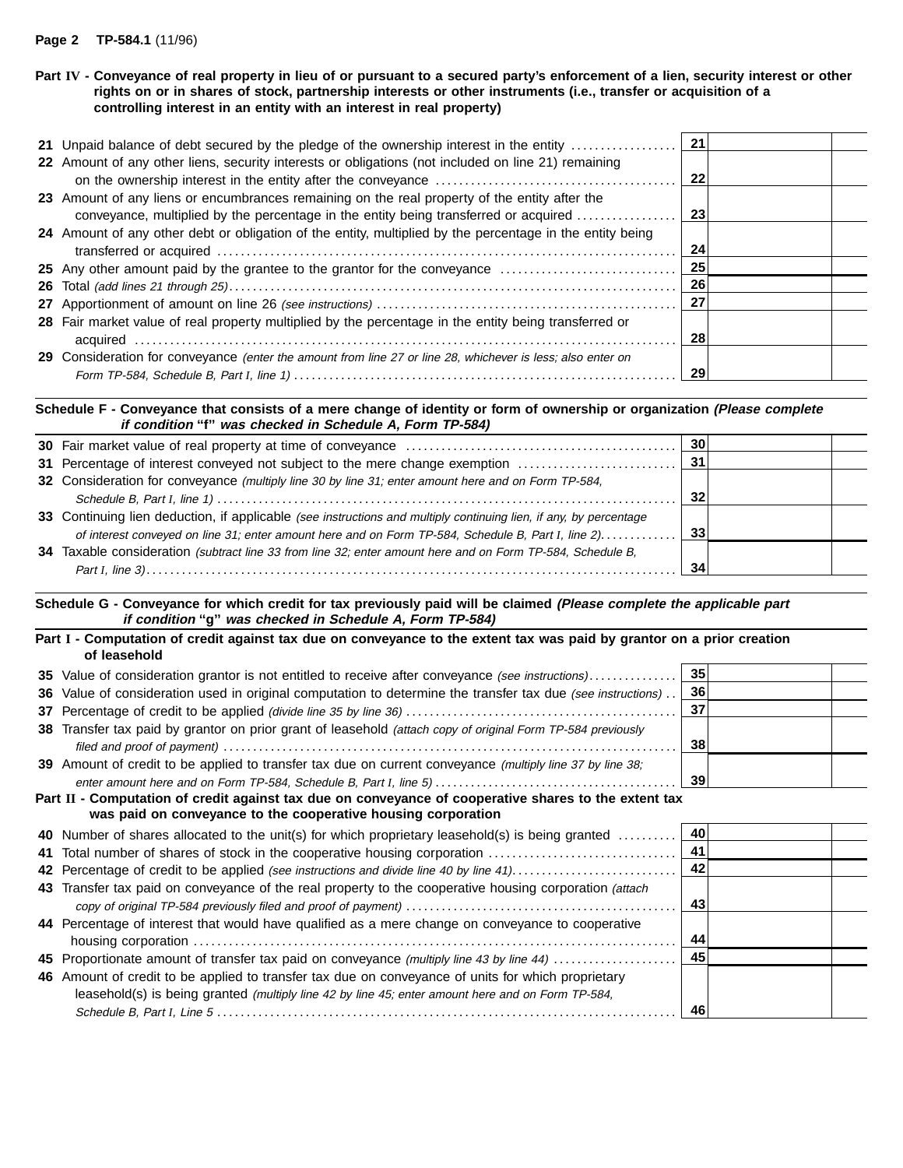## **Page 2 TP-584.1** (11/96)

## **Part IV - Conveyance of real property in lieu of or pursuant to a secured party's enforcement of a lien, security interest or other rights on or in shares of stock, partnership interests or other instruments (i.e., transfer or acquisition of a controlling interest in an entity with an interest in real property)**

| 22 Amount of any other liens, security interests or obligations (not included on line 21) remaining         |    |  |
|-------------------------------------------------------------------------------------------------------------|----|--|
|                                                                                                             | 22 |  |
| 23 Amount of any liens or encumbrances remaining on the real property of the entity after the               |    |  |
| conveyance, multiplied by the percentage in the entity being transferred or acquired                        | 23 |  |
| 24 Amount of any other debt or obligation of the entity, multiplied by the percentage in the entity being   |    |  |
|                                                                                                             | 24 |  |
| 25 Any other amount paid by the grantee to the grantor for the conveyance                                   | 25 |  |
|                                                                                                             | 26 |  |
|                                                                                                             | 27 |  |
| 28 Fair market value of real property multiplied by the percentage in the entity being transferred or       |    |  |
|                                                                                                             | 28 |  |
| 29 Consideration for conveyance (enter the amount from line 27 or line 28, whichever is less; also enter on |    |  |
|                                                                                                             | 29 |  |
|                                                                                                             |    |  |

## **Schedule F - Conveyance that consists of a mere change of identity or form of ownership or organization (Please complete if condition ''f'' was checked in Schedule A, Form TP-584)**

| 32 Consideration for conveyance (multiply line 30 by line 31; enter amount here and on Form TP-584,               |    |  |
|-------------------------------------------------------------------------------------------------------------------|----|--|
|                                                                                                                   | 32 |  |
| 33 Continuing lien deduction, if applicable (see instructions and multiply continuing lien, if any, by percentage |    |  |
|                                                                                                                   |    |  |
| 34 Taxable consideration (subtract line 33 from line 32; enter amount here and on Form TP-584, Schedule B,        |    |  |
|                                                                                                                   | 34 |  |

**Schedule G - Conveyance for which credit for tax previously paid will be claimed (Please complete the applicable part if condition ''g'' was checked in Schedule A, Form TP-584)**

| Part I - Computation of credit against tax due on conveyance to the extent tax was paid by grantor on a prior creation<br>of leasehold                                                                                                                                                                                                                                                                                           |      |
|----------------------------------------------------------------------------------------------------------------------------------------------------------------------------------------------------------------------------------------------------------------------------------------------------------------------------------------------------------------------------------------------------------------------------------|------|
| 35 Value of consideration grantor is not entitled to receive after conveyance (see instructions)                                                                                                                                                                                                                                                                                                                                 | 35   |
| 36 Value of consideration used in original computation to determine the transfer tax due (see instructions)                                                                                                                                                                                                                                                                                                                      | 36   |
|                                                                                                                                                                                                                                                                                                                                                                                                                                  | 37   |
| 38 Transfer tax paid by grantor on prior grant of leasehold (attach copy of original Form TP-584 previously                                                                                                                                                                                                                                                                                                                      | 38   |
| 39 Amount of credit to be applied to transfer tax due on current conveyance (multiply line 37 by line 38;                                                                                                                                                                                                                                                                                                                        | - 39 |
| Part II - Computation of credit against tax due on conveyance of cooperative shares to the extent tax<br>was paid on conveyance to the cooperative housing corporation                                                                                                                                                                                                                                                           |      |
| <b>40</b> Number of shares allocated to the unit(s) for which proprietary leasehold(s) is being granted                                                                                                                                                                                                                                                                                                                          | - 40 |
| $\mathbf{a} \cdot \mathbf{b} = \mathbf{a} \cdot \mathbf{b} + \mathbf{b} \cdot \mathbf{c} + \mathbf{c} + \mathbf{c} + \mathbf{c} + \mathbf{c} + \mathbf{c} + \mathbf{c} + \mathbf{c} + \mathbf{c} + \mathbf{c} + \mathbf{c} + \mathbf{c} + \mathbf{c} + \mathbf{c} + \mathbf{c} + \mathbf{c} + \mathbf{c} + \mathbf{c} + \mathbf{c} + \mathbf{c} + \mathbf{c} + \mathbf{c} + \mathbf{c} + \mathbf{c} + \mathbf{c} + \mathbf{c} +$ | -4-4 |

|                                                                                                        | 41 |  |
|--------------------------------------------------------------------------------------------------------|----|--|
|                                                                                                        | 42 |  |
| 43 Transfer tax paid on conveyance of the real property to the cooperative housing corporation (attach |    |  |
|                                                                                                        | 43 |  |
| 44 Percentage of interest that would have qualified as a mere change on conveyance to cooperative      |    |  |
|                                                                                                        | 44 |  |
| 45 Proportionate amount of transfer tax paid on conveyance (multiply line 43 by line 44)               | 45 |  |
| 46 Amount of credit to be applied to transfer tax due on conveyance of units for which proprietary     |    |  |
| leasehold(s) is being granted (multiply line 42 by line 45; enter amount here and on Form TP-584,      |    |  |
|                                                                                                        | 46 |  |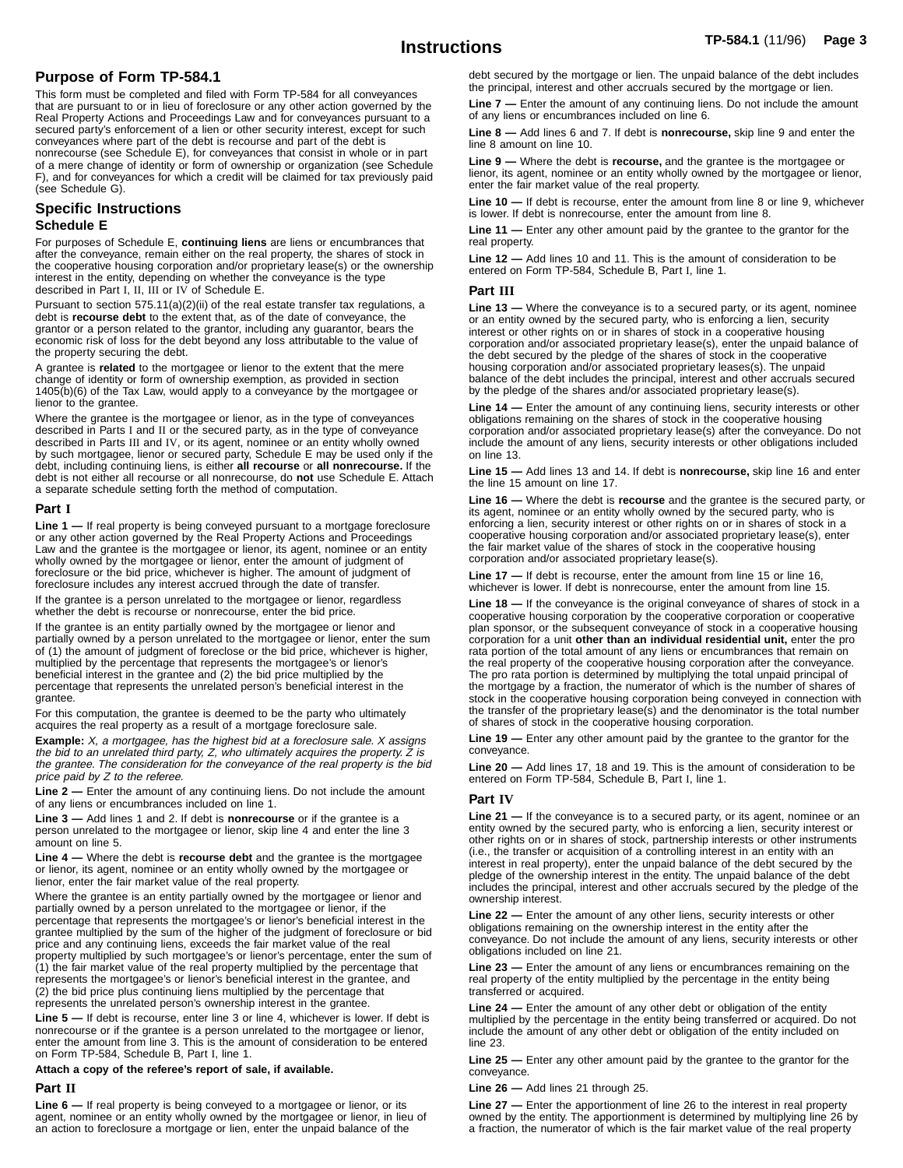## **Purpose of Form TP-584.1**

This form must be completed and filed with Form TP-584 for all conveyances that are pursuant to or in lieu of foreclosure or any other action governed by the Real Property Actions and Proceedings Law and for conveyances pursuant to a secured party's enforcement of a lien or other security interest, except for such conveyances where part of the debt is recourse and part of the debt is nonrecourse (see Schedule E), for conveyances that consist in whole or in part of a mere change of identity or form of ownership or organization (see Schedule F), and for conveyances for which a credit will be claimed for tax previously paid (see Schedule G).

### **Specific Instructions Schedule E**

For purposes of Schedule E, **continuing liens** are liens or encumbrances that after the conveyance, remain either on the real property, the shares of stock in the cooperative housing corporation and/or proprietary lease(s) or the ownership interest in the entity, depending on whether the conveyance is the type described in Part I, II, III or IV of Schedule E.

Pursuant to section 575.11(a)(2)(ii) of the real estate transfer tax regulations, a debt is **recourse debt** to the extent that, as of the date of conveyance, the grantor or a person related to the grantor, including any guarantor, bears the economic risk of loss for the debt beyond any loss attributable to the value of the property securing the debt.

A grantee is **related** to the mortgagee or lienor to the extent that the mere change of identity or form of ownership exemption, as provided in section 1405(b)(6) of the Tax Law, would apply to a conveyance by the mortgagee or lienor to the grantee.

Where the grantee is the mortgagee or lienor, as in the type of conveyances described in Parts I and II or the secured party, as in the type of conveyance described in Parts III and IV, or its agent, nominee or an entity wholly owned by such mortgagee, lienor or secured party, Schedule E may be used only if the debt, including continuing liens, is either **all recourse** or **all nonrecourse.** If the debt is not either all recourse or all nonrecourse, do **not** use Schedule E. Attach a separate schedule setting forth the method of computation.

#### **Part I**

**Line 1 —** If real property is being conveyed pursuant to a mortgage foreclosure or any other action governed by the Real Property Actions and Proceedings Law and the grantee is the mortgagee or lienor, its agent, nominee or an entity wholly owned by the mortgagee or lienor, enter the amount of judgment of foreclosure or the bid price, whichever is higher. The amount of judgment of foreclosure includes any interest accrued through the date of transfer.

If the grantee is a person unrelated to the mortgagee or lienor, regardless whether the debt is recourse or nonrecourse, enter the bid price.

If the grantee is an entity partially owned by the mortgagee or lienor and partially owned by a person unrelated to the mortgagee or lienor, enter the sum of (1) the amount of judgment of foreclose or the bid price, whichever is higher, multiplied by the percentage that represents the mortgagee's or lienor's beneficial interest in the grantee and (2) the bid price multiplied by the percentage that represents the unrelated person's beneficial interest in the grantee.

For this computation, the grantee is deemed to be the party who ultimately acquires the real property as a result of a mortgage foreclosure sale.

**Example:** X, <sup>a</sup> mortgagee, has the highest bid at <sup>a</sup> foreclosure sale. <sup>X</sup> assigns the bid to an unrelated third party,  $Z$ , who ultimately acquires the property.  $\breve{Z}$  is the grantee. The consideration for the conveyance of the real property is the bid price paid by Z to the referee.

**Line 2 —** Enter the amount of any continuing liens. Do not include the amount of any liens or encumbrances included on line 1.

**Line 3 —** Add lines 1 and 2. If debt is **nonrecourse** or if the grantee is a person unrelated to the mortgagee or lienor, skip line 4 and enter the line 3 amount on line 5.

**Line 4 —** Where the debt is **recourse debt** and the grantee is the mortgagee or lienor, its agent, nominee or an entity wholly owned by the mortgagee or lienor, enter the fair market value of the real property.

Where the grantee is an entity partially owned by the mortgagee or lienor and partially owned by a person unrelated to the mortgagee or lienor, if the percentage that represents the mortgagee's or lienor's beneficial interest in the grantee multiplied by the sum of the higher of the judgment of foreclosure or bid price and any continuing liens, exceeds the fair market value of the real property multiplied by such mortgagee's or lienor's percentage, enter the sum of (1) the fair market value of the real property multiplied by the percentage that represents the mortgagee's or lienor's beneficial interest in the grantee, and (2) the bid price plus continuing liens multiplied by the percentage that represents the unrelated person's ownership interest in the grantee.

**Line 5 —** If debt is recourse, enter line 3 or line 4, whichever is lower. If debt is nonrecourse or if the grantee is a person unrelated to the mortgagee or lienor, enter the amount from line 3. This is the amount of consideration to be entered on Form TP-584, Schedule B, Part I, line 1.

#### **Attach a copy of the referee's report of sale, if available.**

#### **Part II**

**Line 6 —** If real property is being conveyed to a mortgagee or lienor, or its agent, nominee or an entity wholly owned by the mortgagee or lienor, in lieu of an action to foreclosure a mortgage or lien, enter the unpaid balance of the

debt secured by the mortgage or lien. The unpaid balance of the debt includes the principal, interest and other accruals secured by the mortgage or lien.

**Line 7 —** Enter the amount of any continuing liens. Do not include the amount of any liens or encumbrances included on line 6.

**Line 8 —** Add lines 6 and 7. If debt is **nonrecourse,** skip line 9 and enter the line 8 amount on line 10.

**Line 9 —** Where the debt is **recourse,** and the grantee is the mortgagee or lienor, its agent, nominee or an entity wholly owned by the mortgagee or lienor, enter the fair market value of the real property.

**Line 10 —** If debt is recourse, enter the amount from line 8 or line 9, whichever is lower. If debt is nonrecourse, enter the amount from line 8.

**Line 11 —** Enter any other amount paid by the grantee to the grantor for the real property.

**Line 12 —** Add lines 10 and 11. This is the amount of consideration to be entered on Form TP-584, Schedule B, Part I, line 1.

#### **Part III**

**Line 13 —** Where the conveyance is to a secured party, or its agent, nominee or an entity owned by the secured party, who is enforcing a lien, security interest or other rights on or in shares of stock in a cooperative housing corporation and/or associated proprietary lease(s), enter the unpaid balance of the debt secured by the pledge of the shares of stock in the cooperative housing corporation and/or associated proprietary leases(s). The unpaid balance of the debt includes the principal, interest and other accruals secured by the pledge of the shares and/or associated proprietary lease(s).

**Line 14 —** Enter the amount of any continuing liens, security interests or other obligations remaining on the shares of stock in the cooperative housing corporation and/or associated proprietary lease(s) after the conveyance. Do not include the amount of any liens, security interests or other obligations included on line 13.

**Line 15 —** Add lines 13 and 14. If debt is **nonrecourse,** skip line 16 and enter the line 15 amount on line 17.

**Line 16 —** Where the debt is **recourse** and the grantee is the secured party, or its agent, nominee or an entity wholly owned by the secured party, who is enforcing a lien, security interest or other rights on or in shares of stock in a cooperative housing corporation and/or associated proprietary lease(s), enter the fair market value of the shares of stock in the cooperative housing corporation and/or associated proprietary lease(s).

**Line 17 —** If debt is recourse, enter the amount from line 15 or line 16, whichever is lower. If debt is nonrecourse, enter the amount from line 15.

**Line 18 —** If the conveyance is the original conveyance of shares of stock in a cooperative housing corporation by the cooperative corporation or cooperative plan sponsor, or the subsequent conveyance of stock in a cooperative housing corporation for a unit **other than an individual residential unit,** enter the pro rata portion of the total amount of any liens or encumbrances that remain on the real property of the cooperative housing corporation after the conveyance. The pro rata portion is determined by multiplying the total unpaid principal of the mortgage by a fraction, the numerator of which is the number of shares of stock in the cooperative housing corporation being conveyed in connection with the transfer of the proprietary lease(s) and the denominator is the total number of shares of stock in the cooperative housing corporation.

**Line 19 —** Enter any other amount paid by the grantee to the grantor for the conveyance.

**Line 20 —** Add lines 17, 18 and 19. This is the amount of consideration to be entered on Form TP-584, Schedule B, Part I, line 1.

#### **Part IV**

Line 21 - If the conveyance is to a secured party, or its agent, nominee or an entity owned by the secured party, who is enforcing a lien, security interest or other rights on or in shares of stock, partnership interests or other instruments (i.e., the transfer or acquisition of a controlling interest in an entity with an interest in real property), enter the unpaid balance of the debt secured by the pledge of the ownership interest in the entity. The unpaid balance of the debt includes the principal, interest and other accruals secured by the pledge of the ownership interest.

**Line 22 —** Enter the amount of any other liens, security interests or other obligations remaining on the ownership interest in the entity after the conveyance. Do not include the amount of any liens, security interests or other obligations included on line 21.

**Line 23 —** Enter the amount of any liens or encumbrances remaining on the real property of the entity multiplied by the percentage in the entity being transferred or acquired.

**Line 24 —** Enter the amount of any other debt or obligation of the entity multiplied by the percentage in the entity being transferred or acquired. Do not include the amount of any other debt or obligation of the entity included on line 23.

**Line 25 —** Enter any other amount paid by the grantee to the grantor for the conveyance.

**Line 26 —** Add lines 21 through 25.

**Line 27 —** Enter the apportionment of line 26 to the interest in real property owned by the entity. The apportionment is determined by multiplying line 26 by a fraction, the numerator of which is the fair market value of the real property